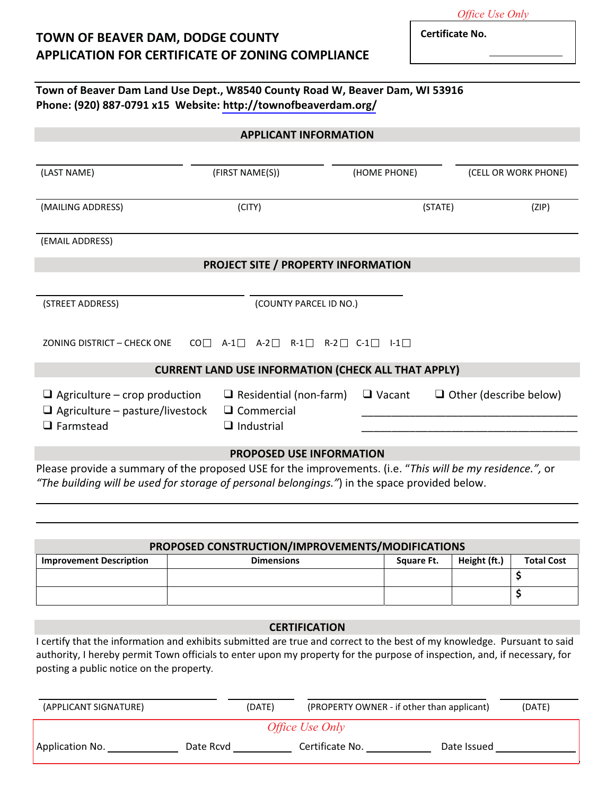**Certificate No.** 

*Office Use Only*

## **TOWN OF BEAVER DAM, DODGE COUNTY APPLICATION FOR CERTIFICATE OF ZONING COMPLIANCE (Page 1)**

**Town of Beaver Dam Land Use Dept., W8540 County Road W,
Beaver Dam, WI 53916 Phone: (920) 887-0791 x15 Website: [http://townofbeaverdam.org/](http://www.townofbeaverdam.org/)**

| <b>APPLICANT INFORMATION</b>                                                                                                                                                                               |                                                    |               |                               |  |  |
|------------------------------------------------------------------------------------------------------------------------------------------------------------------------------------------------------------|----------------------------------------------------|---------------|-------------------------------|--|--|
|                                                                                                                                                                                                            |                                                    |               |                               |  |  |
| (LAST NAME)                                                                                                                                                                                                | (FIRST NAME(S))                                    | (HOME PHONE)  | (CELL OR WORK PHONE)          |  |  |
|                                                                                                                                                                                                            |                                                    |               |                               |  |  |
| (MAILING ADDRESS)                                                                                                                                                                                          | (CITY)                                             |               | (STATE)<br>(ZIP)              |  |  |
| (EMAIL ADDRESS)                                                                                                                                                                                            |                                                    |               |                               |  |  |
| <b>PROJECT SITE / PROPERTY INFORMATION</b>                                                                                                                                                                 |                                                    |               |                               |  |  |
|                                                                                                                                                                                                            |                                                    |               |                               |  |  |
| (STREET ADDRESS)                                                                                                                                                                                           | (COUNTY PARCEL ID NO.)                             |               |                               |  |  |
|                                                                                                                                                                                                            |                                                    |               |                               |  |  |
| ZONING DISTRICT - CHECK ONE<br>$\mathsf{CO} \square$                                                                                                                                                       | $A-1$ $A-2$ $R-1$ $R-2$ $C-1$ $I-1$                |               |                               |  |  |
| <b>CURRENT LAND USE INFORMATION (CHECK ALL THAT APPLY)</b>                                                                                                                                                 |                                                    |               |                               |  |  |
| $\Box$ Agriculture – crop production<br>$\Box$ Agriculture – pasture/livestock                                                                                                                             | $\Box$ Residential (non-farm)<br>$\Box$ Commercial | $\Box$ Vacant | $\Box$ Other (describe below) |  |  |
| $\Box$ Farmstead                                                                                                                                                                                           | $\Box$ Industrial                                  |               |                               |  |  |
| <b>PROPOSED USE INFORMATION</b>                                                                                                                                                                            |                                                    |               |                               |  |  |
| Please provide a summary of the proposed USE for the improvements. (i.e. "This will be my residence.", or<br>"The building will be used for storage of personal belongings.") in the space provided below. |                                                    |               |                               |  |  |

## **PROPOSED CONSTRUCTION/IMPROVEMENTS/MODIFICATIONS**

| <b>Improvement Description</b> | <b>Dimensions</b> | <b>Square Ft.</b> | Height (ft.) | <b>Total Cost</b> |
|--------------------------------|-------------------|-------------------|--------------|-------------------|
|                                |                   |                   |              |                   |
|                                |                   |                   |              |                   |

## **CERTIFICATION**

I certify that the information and exhibits submitted are true and correct to the best of my knowledge. Pursuant to said authority, I hereby permit Town officials to enter upon my property for the purpose of inspection, and, if necessary, for posting a public notice on the property.

| (APPLICANT SIGNATURE) | (DATE)    |                        | (PROPERTY OWNER - if other than applicant) | (DATE) |
|-----------------------|-----------|------------------------|--------------------------------------------|--------|
|                       |           | <i>Office Use Only</i> |                                            |        |
| Application No.       | Date Rcyd | Certificate No.        | Date Issued                                |        |